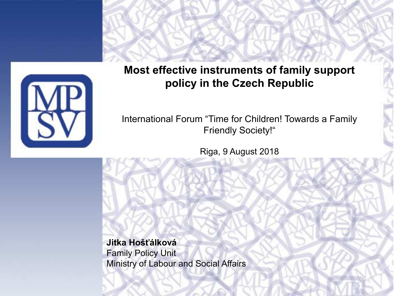

**Most effective instruments of family support policy in the Czech Republic**

International Forum "Time for Children! Towards a Family Friendly Society!"

Riga, 9 August 2018

**Jitka Hošťálková** Family Policy Unit Ministry of Labour and Social Affairs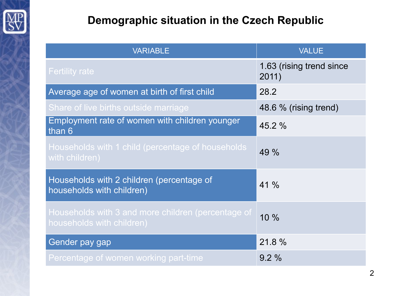

## **Demographic situation in the Czech Republic**

| <b>VARIABLE</b>                                                                 | <b>VALUE</b>                      |
|---------------------------------------------------------------------------------|-----------------------------------|
| <b>Fertility rate</b>                                                           | 1.63 (rising trend since<br>2011) |
| Average age of women at birth of first child                                    | 28.2                              |
| Share of live births outside marriage                                           | 48.6 % (rising trend)             |
| Employment rate of women with children younger<br>than 6                        | 45.2 %                            |
| Households with 1 child (percentage of households<br>with children)             | 49 %                              |
| Households with 2 children (percentage of<br>households with children)          | $41\%$                            |
| Households with 3 and more children (percentage of<br>households with children) | 10%                               |
| Gender pay gap                                                                  | 21.8 %                            |
| Percentage of women working part-time                                           | 9.2%                              |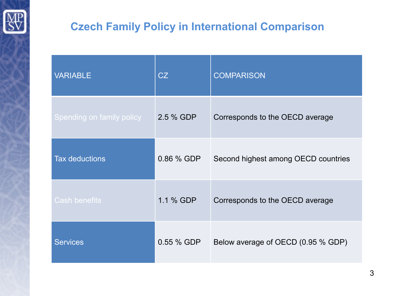

## **Czech Family Policy in International Comparison**

| <b>VARIABLE</b>           | CZ         | <b>COMPARISON</b>                   |
|---------------------------|------------|-------------------------------------|
| Spending on family policy | 2.5 % GDP  | Corresponds to the OECD average     |
| <b>Tax deductions</b>     | 0.86 % GDP | Second highest among OECD countries |
| <b>Cash benefits</b>      | 1.1 % GDP  | Corresponds to the OECD average     |
| <b>Services</b>           | 0.55 % GDP | Below average of OECD (0.95 % GDP)  |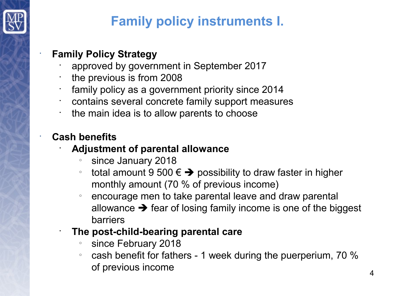

# **Family policy instruments I.**

#### • **Family Policy Strategy**

- approved by government in September 2017
- the previous is from 2008
- family policy as a government priority since 2014
- contains several concrete family support measures
- the main idea is to allow parents to choose

### • **Cash benefits**

- **Adjustment of parental allowance**
	- since January 2018
	- ∘ total amount 9 500 €  $\rightarrow$  possibility to draw faster in higher monthly amount (70 % of previous income)
	- $\degree$  encourage men to take parental leave and draw parental allowance  $\rightarrow$  fear of losing family income is one of the biggest barriers
- **The post-child-bearing parental care**
	- since February 2018
	- $\degree$  cash benefit for fathers 1 week during the puerperium, 70 % of previous income 4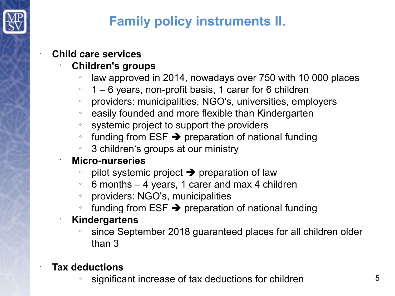

# **Family policy instruments II.**

#### • **Child care services**

## • **Children's groups**

- o law approved in 2014, nowadays over 750 with 10 000 places
- $\degree$  1 6 years, non-profit basis, 1 carer for 6 children
- providers: municipalities, NGO's, universities, employers
- $\textdegree$  easily founded and more flexible than Kindergarten
- systemic project to support the providers
- o funding from  $ESF \rightarrow$  preparation of national funding
- $\degree$  3 children's groups at our ministry

#### • **Micro-nurseries**

- pilot systemic project  $\rightarrow$  preparation of law
- $\degree$  6 months 4 years, 1 carer and max 4 children
- providers: NGO's, municipalities
- o funding from  $ESF \rightarrow$  preparation of national funding

#### • **Kindergartens**

since September 2018 guaranteed places for all children older than 3

## • **Tax deductions**

significant increase of tax deductions for children  $15$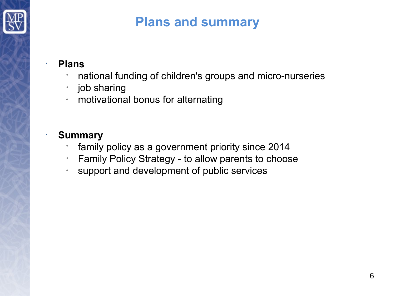

# **Plans and summary**

#### • **Plans**

- national funding of children's groups and micro-nurseries
- o job sharing
- **motivational bonus for alternating**

#### • **Summary**

- o family policy as a government priority since 2014
- Family Policy Strategy to allow parents to choose
- support and development of public services